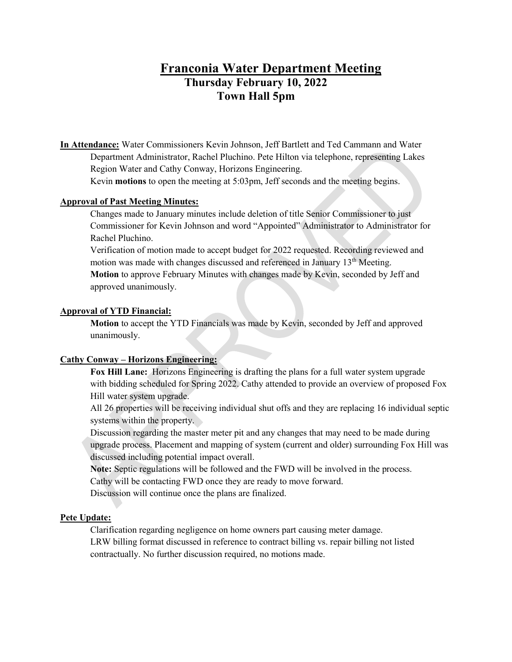# **Franconia Water Department Meeting Thursday February 10, 2022 Town Hall 5pm**

**In Attendance:** Water Commissioners Kevin Johnson, Jeff Bartlett and Ted Cammann and Water Department Administrator, Rachel Pluchino. Pete Hilton via telephone, representing Lakes Region Water and Cathy Conway, Horizons Engineering.

Kevin **motions** to open the meeting at 5:03pm, Jeff seconds and the meeting begins.

# **Approval of Past Meeting Minutes:**

Changes made to January minutes include deletion of title Senior Commissioner to just Commissioner for Kevin Johnson and word "Appointed" Administrator to Administrator for Rachel Pluchino.

Verification of motion made to accept budget for 2022 requested. Recording reviewed and motion was made with changes discussed and referenced in January  $13<sup>th</sup>$  Meeting. **Motion** to approve February Minutes with changes made by Kevin, seconded by Jeff and approved unanimously.

#### **Approval of YTD Financial:**

**Motion** to accept the YTD Financials was made by Kevin, seconded by Jeff and approved unanimously.

# **Cathy Conway – Horizons Engineering:**

**Fox Hill Lane:** Horizons Engineering is drafting the plans for a full water system upgrade with bidding scheduled for Spring 2022. Cathy attended to provide an overview of proposed Fox Hill water system upgrade.

All 26 properties will be receiving individual shut offs and they are replacing 16 individual septic systems within the property.

Discussion regarding the master meter pit and any changes that may need to be made during upgrade process. Placement and mapping of system (current and older) surrounding Fox Hill was discussed including potential impact overall.

**Note:** Septic regulations will be followed and the FWD will be involved in the process.

Cathy will be contacting FWD once they are ready to move forward.

Discussion will continue once the plans are finalized.

#### **Pete Update:**

Clarification regarding negligence on home owners part causing meter damage. LRW billing format discussed in reference to contract billing vs. repair billing not listed contractually. No further discussion required, no motions made.